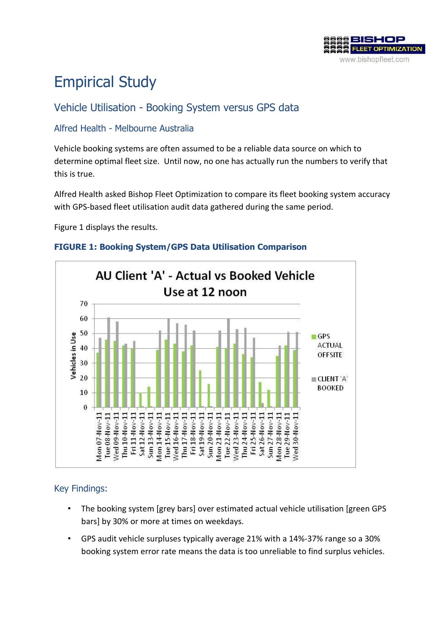

## Empirical Study

## Vehicle Utilisation - Booking System versus GPS data

## Alfred Health - Melbourne Australia

Vehicle booking systems are often assumed to be a reliable data source on which to determine optimal fleet size. Until now, no one has actually run the numbers to verify that this is true.

Alfred Health asked Bishop Fleet Optimization to compare its fleet booking system accuracy with GPS-based fleet utilisation audit data gathered during the same period.

Figure 1 displays the results.





## Key Findings:

- The booking system [grey bars] over estimated actual vehicle utilisation [green GPS bars] by 30% or more at times on weekdays.
- GPS audit vehicle surpluses typically average 21% with a 14%-37% range so a 30% booking system error rate means the data is too unreliable to find surplus vehicles.